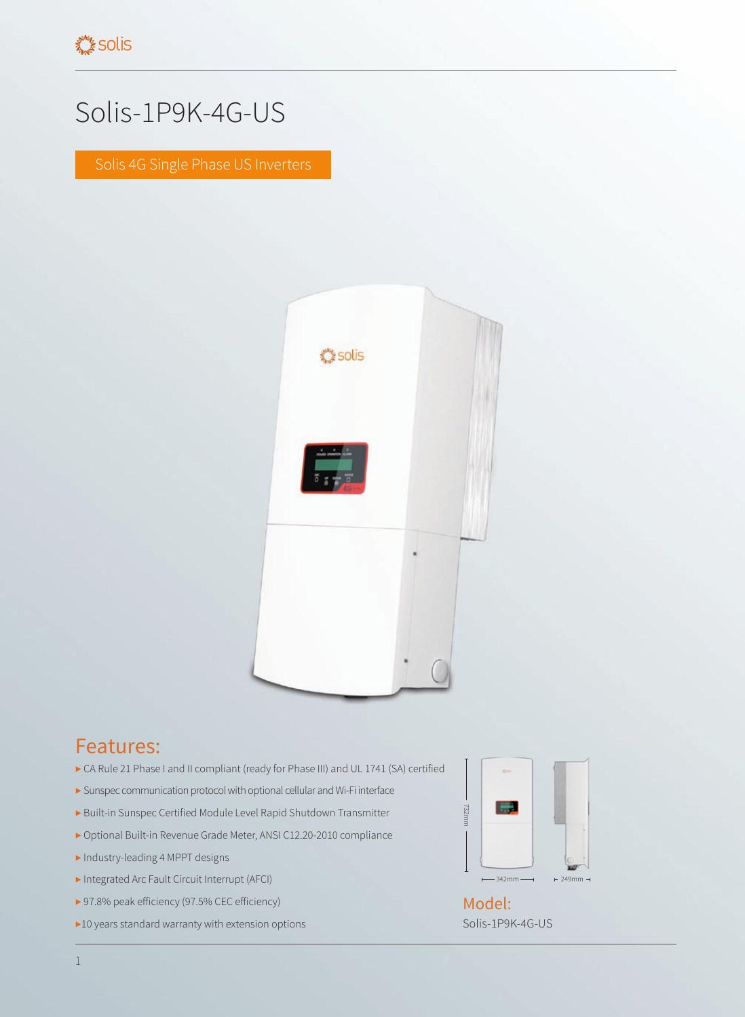## Solis-1P9K-4G-US

Solis 4G Single Phase US Inverters



## Features:

- ▶ CA Rule 21 Phase I and II compliant (ready for Phase III) and UL 1741 (SA) certified
- ▶ Sunspec communication protocol with optional cellular and Wi-Fi interface
- ▶ Built-in Sunspec Certified Module Level Rapid Shutdown Transmitter
- ▶ Optional Built-in Revenue Grade Meter, ANSI C12.20-2010 compliance
- ▶ Industry-leading 4 MPPT designs
- ▶ Integrated Arc Fault Circuit Interrupt (AFCI)
- ▶ 97.8% peak efficiency (97.5% CEC efficiency)
- ▶10 years standard warranty with extension options



Solis-1P9K-4G-US Model: